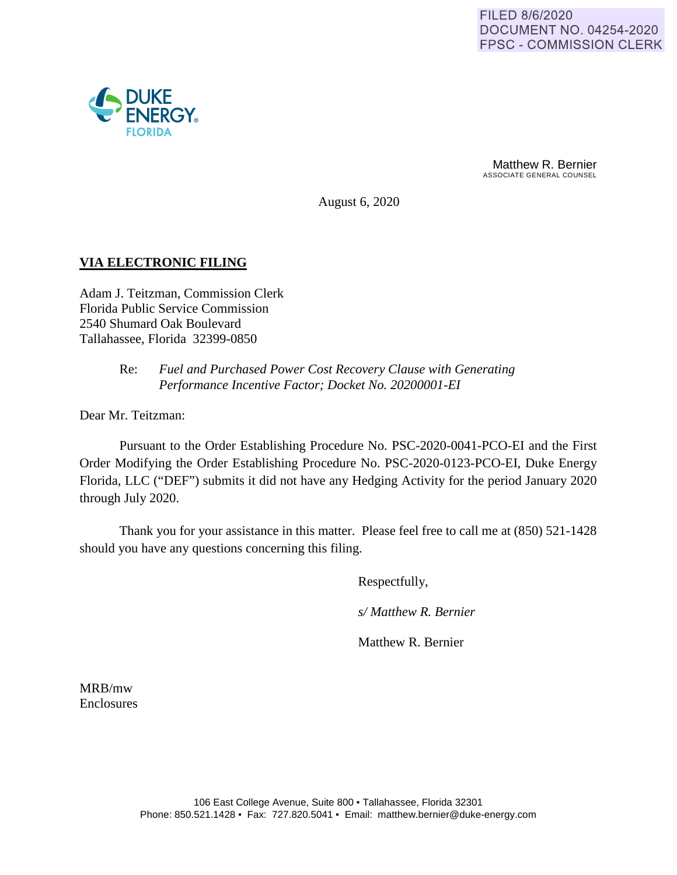

Matthew R. Bernier ASSOCIATE GENERAL COUNSEL

August 6, 2020

## **VIA ELECTRONIC FILING**

Adam J. Teitzman, Commission Clerk Florida Public Service Commission 2540 Shumard Oak Boulevard Tallahassee, Florida 32399-0850

## Re: *Fuel and Purchased Power Cost Recovery Clause with Generating Performance Incentive Factor; Docket No. 20200001-EI*

Dear Mr. Teitzman:

Pursuant to the Order Establishing Procedure No. PSC-2020-0041-PCO-EI and the First Order Modifying the Order Establishing Procedure No. PSC-2020-0123-PCO-EI, Duke Energy Florida, LLC ("DEF") submits it did not have any Hedging Activity for the period January 2020 through July 2020.

Thank you for your assistance in this matter. Please feel free to call me at (850) 521-1428 should you have any questions concerning this filing.

Respectfully,

*s/ Matthew R. Bernier*

Matthew R. Bernier

MRB/mw Enclosures